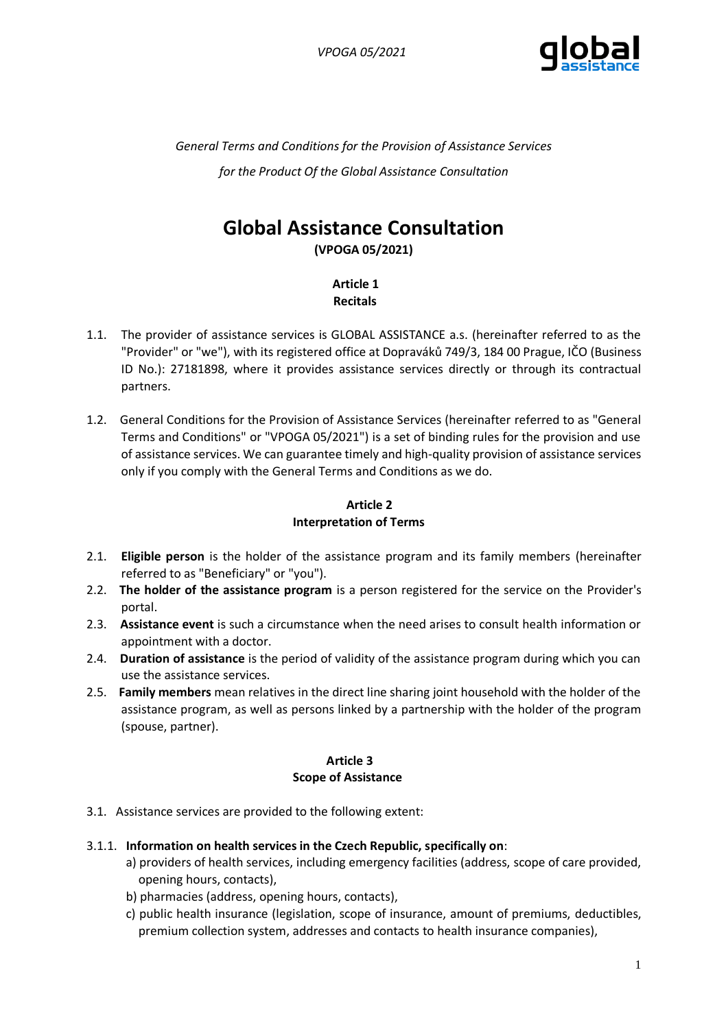

*General Terms and Conditions for the Provision of Assistance Services for the Product Of the Global Assistance Consultation*

# **Global Assistance Consultation**

**(VPOGA 05/2021)**

 **Article 1 Recitals**

- 1.1. The provider of assistance services is GLOBAL ASSISTANCE a.s. (hereinafter referred to as the "Provider" or "we"), with its registered office at Dopraváků 749/3, 184 00 Prague, IČO (Business ID No.): 27181898, where it provides assistance services directly or through its contractual partners.
- 1.2. General Conditions for the Provision of Assistance Services (hereinafter referred to as "General Terms and Conditions" or "VPOGA 05/2021") is a set of binding rules for the provision and use of assistance services. We can guarantee timely and high-quality provision of assistance services only if you comply with the General Terms and Conditions as we do.

# **Article 2 Interpretation of Terms**

- 2.1. **Eligible person** is the holder of the assistance program and its family members (hereinafter referred to as "Beneficiary" or "you").
- 2.2. **The holder of the assistance program** is a person registered for the service on the Provider's portal.
- 2.3. **Assistance event** is such a circumstance when the need arises to consult health information or appointment with a doctor.
- 2.4. **Duration of assistance** is the period of validity of the assistance program during which you can use the assistance services.
- 2.5. **Family members** mean relatives in the direct line sharing joint household with the holder of the assistance program, as well as persons linked by a partnership with the holder of the program (spouse, partner).

# **Article 3 Scope of Assistance**

3.1. Assistance services are provided to the following extent:

#### 3.1.1. **Information on health services in the Czech Republic, specifically on**:

- a) providers of health services, including emergency facilities (address, scope of care provided, opening hours, contacts),
- b) pharmacies (address, opening hours, contacts),
- c) public health insurance (legislation, scope of insurance, amount of premiums, deductibles, premium collection system, addresses and contacts to health insurance companies),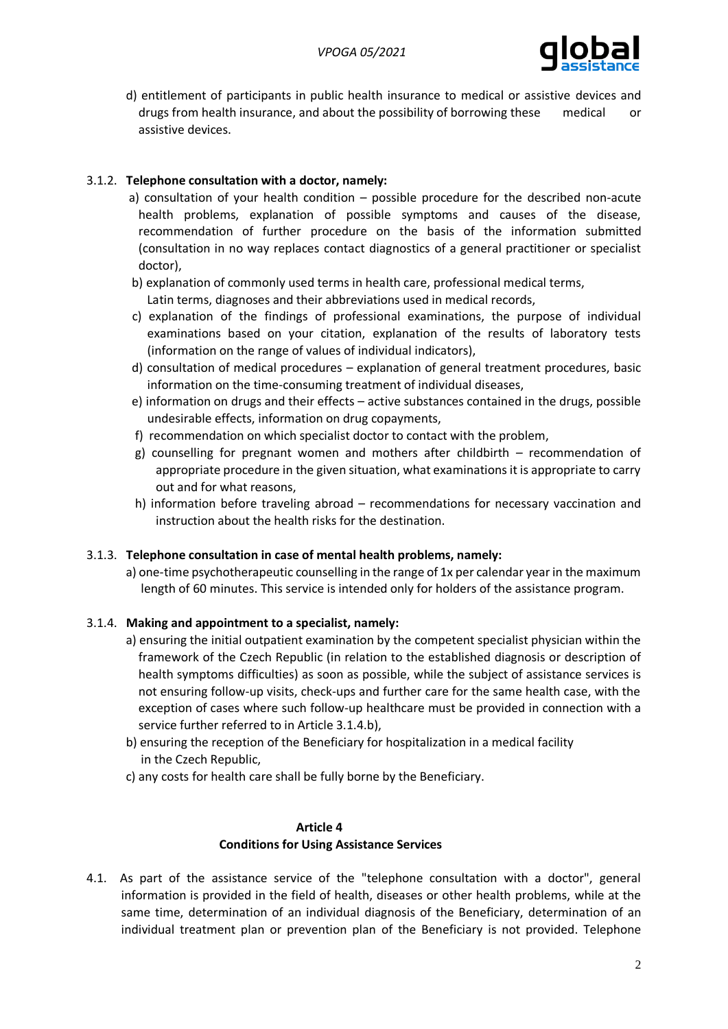

 d) entitlement of participants in public health insurance to medical or assistive devices and drugs from health insurance, and about the possibility of borrowing these medical or assistive devices.

# 3.1.2. **Telephone consultation with a doctor, namely:**

- a) consultation of your health condition possible procedure for the described non-acute health problems, explanation of possible symptoms and causes of the disease, recommendation of further procedure on the basis of the information submitted (consultation in no way replaces contact diagnostics of a general practitioner or specialist doctor),
- b) explanation of commonly used terms in health care, professional medical terms,
	- Latin terms, diagnoses and their abbreviations used in medical records,
- c) explanation of the findings of professional examinations, the purpose of individual examinations based on your citation, explanation of the results of laboratory tests (information on the range of values of individual indicators),
- d) consultation of medical procedures explanation of general treatment procedures, basic information on the time-consuming treatment of individual diseases,
- e) information on drugs and their effects active substances contained in the drugs, possible undesirable effects, information on drug copayments,
- f) recommendation on which specialist doctor to contact with the problem,
- g) counselling for pregnant women and mothers after childbirth recommendation of appropriate procedure in the given situation, what examinations it is appropriate to carry out and for what reasons,
- h) information before traveling abroad recommendations for necessary vaccination and instruction about the health risks for the destination.

#### 3.1.3. **Telephone consultation in case of mental health problems, namely:**

 a) one-time psychotherapeutic counselling in the range of 1x per calendar year in the maximum length of 60 minutes. This service is intended only for holders of the assistance program.

#### 3.1.4. **Making and appointment to a specialist, namely:**

- a) ensuring the initial outpatient examination by the competent specialist physician within the framework of the Czech Republic (in relation to the established diagnosis or description of health symptoms difficulties) as soon as possible, while the subject of assistance services is not ensuring follow-up visits, check-ups and further care for the same health case, with the exception of cases where such follow-up healthcare must be provided in connection with a service further referred to in Article 3.1.4.b),
- b) ensuring the reception of the Beneficiary for hospitalization in a medical facility in the Czech Republic,
- c) any costs for health care shall be fully borne by the Beneficiary.

# **Article 4**

# **Conditions for Using Assistance Services**

4.1. As part of the assistance service of the "telephone consultation with a doctor", general information is provided in the field of health, diseases or other health problems, while at the same time, determination of an individual diagnosis of the Beneficiary, determination of an individual treatment plan or prevention plan of the Beneficiary is not provided. Telephone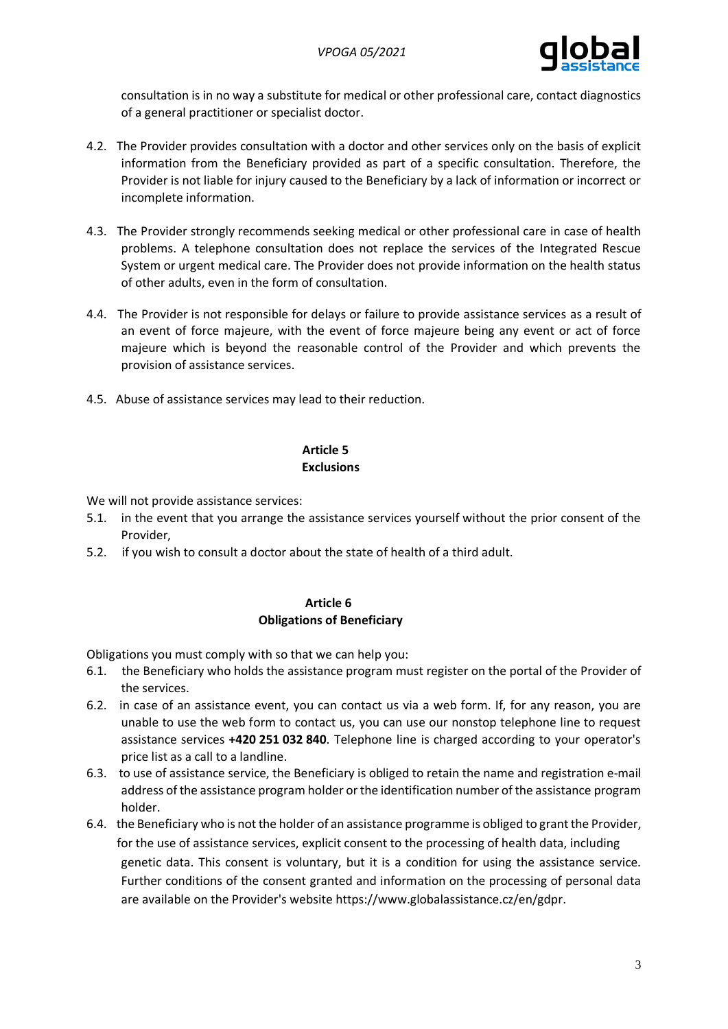

consultation is in no way a substitute for medical or other professional care, contact diagnostics of a general practitioner or specialist doctor.

- 4.2. The Provider provides consultation with a doctor and other services only on the basis of explicit information from the Beneficiary provided as part of a specific consultation. Therefore, the Provider is not liable for injury caused to the Beneficiary by a lack of information or incorrect or incomplete information.
- 4.3. The Provider strongly recommends seeking medical or other professional care in case of health problems. A telephone consultation does not replace the services of the Integrated Rescue System or urgent medical care. The Provider does not provide information on the health status of other adults, even in the form of consultation.
- 4.4. The Provider is not responsible for delays or failure to provide assistance services as a result of an event of force majeure, with the event of force majeure being any event or act of force majeure which is beyond the reasonable control of the Provider and which prevents the provision of assistance services.
- 4.5. Abuse of assistance services may lead to their reduction.

# **Article 5 Exclusions**

We will not provide assistance services:

- 5.1. in the event that you arrange the assistance services yourself without the prior consent of the Provider,
- 5.2. if you wish to consult a doctor about the state of health of a third adult.

### **Article 6 Obligations of Beneficiary**

Obligations you must comply with so that we can help you:

- 6.1. the Beneficiary who holds the assistance program must register on the portal of the Provider of the services.
- 6.2. in case of an assistance event, you can contact us via a web form. If, for any reason, you are unable to use the web form to contact us, you can use our nonstop telephone line to request assistance services **+420 251 032 840**. Telephone line is charged according to your operator's price list as a call to a landline.
- 6.3. to use of assistance service, the Beneficiary is obliged to retain the name and registration e-mail address of the assistance program holder or the identification number of the assistance program holder.
- 6.4. the Beneficiary who is not the holder of an assistance programme is obliged to grant the Provider, for the use of assistance services, explicit consent to the processing of health data, including genetic data. This consent is voluntary, but it is a condition for using the assistance service. Further conditions of the consent granted and information on the processing of personal data are available on the Provider's websit[e https://www.globalassistance.cz/en/gdpr.](https://www.globalassistance.cz/en/gdpr)